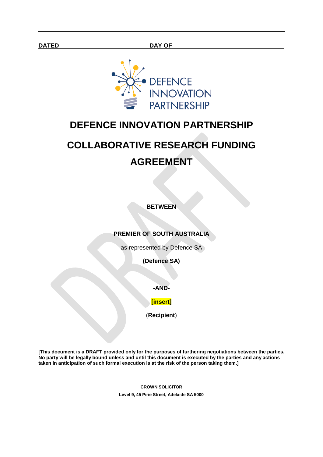

# **DEFENCE INNOVATION PARTNERSHIP**

# **COLLABORATIVE RESEARCH FUNDING AGREEMENT**

**BETWEEN**

#### **PREMIER OF SOUTH AUSTRALIA**

as represented by Defence SA

**(Defence SA)**

**-AND-**

#### **[insert]**

(**Recipient**)

**[This document is a DRAFT provided only for the purposes of furthering negotiations between the parties. No party will be legally bound unless and until this document is executed by the parties and any actions taken in anticipation of such formal execution is at the risk of the person taking them.]**

> **CROWN SOLICITOR Level 9, 45 Pirie Street, Adelaide SA 5000**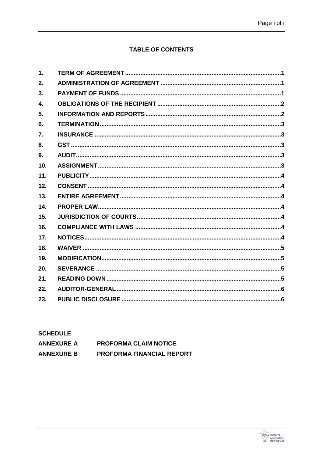# **TABLE OF CONTENTS**

| 1.  |  |
|-----|--|
| 2.  |  |
| 3.  |  |
| 4.  |  |
| 5.  |  |
| 6.  |  |
| 7.  |  |
| 8.  |  |
| 9.  |  |
| 10. |  |
| 11. |  |
| 12. |  |
| 13. |  |
| 14. |  |
| 15. |  |
| 16. |  |
| 17. |  |
| 18. |  |
| 19. |  |
| 20. |  |
| 21. |  |
| 22. |  |
| 23. |  |
|     |  |

| <b>SCHEDULE</b>   |                                  |  |  |  |
|-------------------|----------------------------------|--|--|--|
| <b>ANNEXURE A</b> | <b>PROFORMA CLAIM NOTICE</b>     |  |  |  |
| <b>ANNEXURE B</b> | <b>PROFORMA FINANCIAL REPORT</b> |  |  |  |

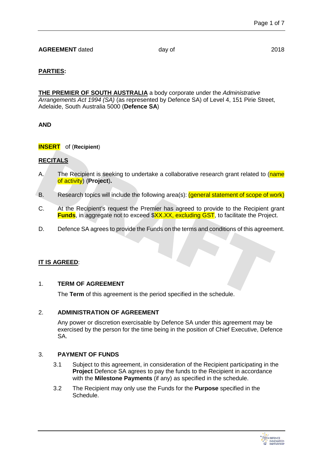# **PARTIES:**

**THE PREMIER OF SOUTH AUSTRALIA** a body corporate under the *Administrative Arrangements Act 1994 (SA)* (as represented by Defence SA) of Level 4, 151 Pirie Street, Adelaide, South Australia 5000 (**Defence SA**)

**AND**

**INSERT** of (**Recipient**)

# **RECITALS**

- A. The Recipient is seeking to undertake a collaborative research grant related to (name of activity) (**Project**)**.**
- B. Research topics will include the following area(s): (general statement of scope of work)
- C. At the Recipient's request the Premier has agreed to provide to the Recipient grant **Funds**, in aggregate not to exceed \$XX.XX, excluding GST, to facilitate the Project.
- D. Defence SA agrees to provide the Funds on the terms and conditions of this agreement.

# <span id="page-2-0"></span>**IT IS AGREED**:

#### 1. **TERM OF AGREEMENT**

The **Term** of this agreement is the period specified in the schedule.

# <span id="page-2-1"></span>2. **ADMINISTRATION OF AGREEMENT**

Any power or discretion exercisable by Defence SA under this agreement may be exercised by the person for the time being in the position of Chief Executive, Defence SA.

#### <span id="page-2-2"></span>3. **PAYMENT OF FUNDS**

- 3.1 Subject to this agreement, in consideration of the Recipient participating in the **Project** Defence SA agrees to pay the funds to the Recipient in accordance with the **Milestone Payments** (if any) as specified in the schedule.
- 3.2 The Recipient may only use the Funds for the **Purpose** specified in the Schedule.

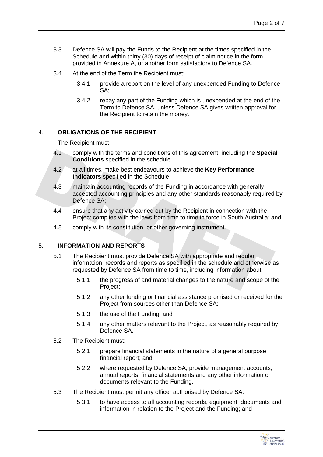- 3.3 Defence SA will pay the Funds to the Recipient at the times specified in the Schedule and within thirty (30) days of receipt of claim notice in the form provided in Annexure A, or another form satisfactory to Defence SA.
- 3.4 At the end of the Term the Recipient must:
	- 3.4.1 provide a report on the level of any unexpended Funding to Defence SA;
	- 3.4.2 repay any part of the Funding which is unexpended at the end of the Term to Defence SA, unless Defence SA gives written approval for the Recipient to retain the money.

#### <span id="page-3-0"></span>4. **OBLIGATIONS OF THE RECIPIENT**

The Recipient must:

- 4.1 comply with the terms and conditions of this agreement, including the **Special Conditions** specified in the schedule.
- 4.2 at all times, make best endeavours to achieve the **Key Performance Indicators** specified in the Schedule;
- 4.3 maintain accounting records of the Funding in accordance with generally accepted accounting principles and any other standards reasonably required by Defence SA;
- 4.4 ensure that any activity carried out by the Recipient in connection with the Project complies with the laws from time to time in force in South Australia; and
- 4.5 comply with its constitution, or other governing instrument.

#### <span id="page-3-1"></span>5. **INFORMATION AND REPORTS**

- 5.1 The Recipient must provide Defence SA with appropriate and regular information, records and reports as specified in the schedule and otherwise as requested by Defence SA from time to time, including information about:
	- 5.1.1 the progress of and material changes to the nature and scope of the Project;
	- 5.1.2 any other funding or financial assistance promised or received for the Project from sources other than Defence SA;
	- 5.1.3 the use of the Funding; and
	- 5.1.4 any other matters relevant to the Project, as reasonably required by Defence SA.
- 5.2 The Recipient must:
	- 5.2.1 prepare financial statements in the nature of a general purpose financial report; and
	- 5.2.2 where requested by Defence SA, provide management accounts, annual reports, financial statements and any other information or documents relevant to the Funding.
- 5.3 The Recipient must permit any officer authorised by Defence SA:
	- 5.3.1 to have access to all accounting records, equipment, documents and information in relation to the Project and the Funding; and

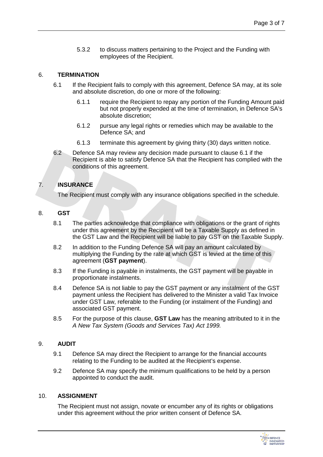5.3.2 to discuss matters pertaining to the Project and the Funding with employees of the Recipient.

#### <span id="page-4-0"></span>6. **TERMINATION**

- 6.1 If the Recipient fails to comply with this agreement, Defence SA may, at its sole and absolute discretion, do one or more of the following:
	- 6.1.1 require the Recipient to repay any portion of the Funding Amount paid but not properly expended at the time of termination, in Defence SA's absolute discretion;
	- 6.1.2 pursue any legal rights or remedies which may be available to the Defence SA; and
	- 6.1.3 terminate this agreement by giving thirty (30) days written notice.
- 6.2 Defence SA may review any decision made pursuant to clause 6.1 if the Recipient is able to satisfy Defence SA that the Recipient has complied with the conditions of this agreement.

# <span id="page-4-1"></span>7. **INSURANCE**

The Recipient must comply with any insurance obligations specified in the schedule.

# <span id="page-4-2"></span>8. **GST**

- 8.1 The parties acknowledge that compliance with obligations or the grant of rights under this agreement by the Recipient will be a Taxable Supply as defined in the GST Law and the Recipient will be liable to pay GST on the Taxable Supply.
- 8.2 In addition to the Funding Defence SA will pay an amount calculated by multiplying the Funding by the rate at which GST is levied at the time of this agreement (**GST payment**).
- 8.3 If the Funding is payable in instalments, the GST payment will be payable in proportionate instalments.
- 8.4 Defence SA is not liable to pay the GST payment or any instalment of the GST payment unless the Recipient has delivered to the Minister a valid Tax Invoice under GST Law, referable to the Funding (or instalment of the Funding) and associated GST payment.
- 8.5 For the purpose of this clause, **GST Law** has the meaning attributed to it in the *A New Tax System (Goods and Services Tax) Act 1999.*

### <span id="page-4-3"></span>9. **AUDIT**

- 9.1 Defence SA may direct the Recipient to arrange for the financial accounts relating to the Funding to be audited at the Recipient's expense.
- 9.2 Defence SA may specify the minimum qualifications to be held by a person appointed to conduct the audit.

#### <span id="page-4-4"></span>10. **ASSIGNMENT**

The Recipient must not assign, novate or encumber any of its rights or obligations under this agreement without the prior written consent of Defence SA.

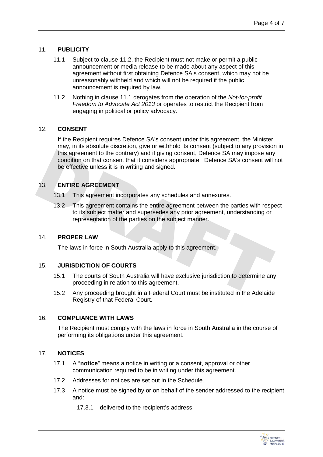#### <span id="page-5-0"></span>11. **PUBLICITY**

- 11.1 Subject to clause 11.2, the Recipient must not make or permit a public announcement or media release to be made about any aspect of this agreement without first obtaining Defence SA's consent, which may not be unreasonably withheld and which will not be required if the public announcement is required by law.
- 11.2 Nothing in clause 11.1 derogates from the operation of the *Not-for-profit Freedom to Advocate Act 2013* or operates to restrict the Recipient from engaging in political or policy advocacy.

#### <span id="page-5-1"></span>12. **CONSENT**

If the Recipient requires Defence SA's consent under this agreement, the Minister may, in its absolute discretion, give or withhold its consent (subject to any provision in this agreement to the contrary) and if giving consent, Defence SA may impose any condition on that consent that it considers appropriate. Defence SA's consent will not be effective unless it is in writing and signed.

#### <span id="page-5-2"></span>13. **ENTIRE AGREEMENT**

- 13.1 This agreement incorporates any schedules and annexures.
- 13.2 This agreement contains the entire agreement between the parties with respect to its subject matter and supersedes any prior agreement, understanding or representation of the parties on the subject manner.

#### <span id="page-5-3"></span>14. **PROPER LAW**

The laws in force in South Australia apply to this agreement.

#### <span id="page-5-4"></span>15. **JURISDICTION OF COURTS**

- 15.1 The courts of South Australia will have exclusive jurisdiction to determine any proceeding in relation to this agreement.
- 15.2 Any proceeding brought in a Federal Court must be instituted in the Adelaide Registry of that Federal Court.

#### <span id="page-5-5"></span>16. **COMPLIANCE WITH LAWS**

The Recipient must comply with the laws in force in South Australia in the course of performing its obligations under this agreement.

#### <span id="page-5-6"></span>17. **NOTICES**

- 17.1 A "**notice**" means a notice in writing or a consent, approval or other communication required to be in writing under this agreement.
- 17.2 Addresses for notices are set out in the Schedule.
- 17.3 A notice must be signed by or on behalf of the sender addressed to the recipient and:
	- 17.3.1 delivered to the recipient's address;

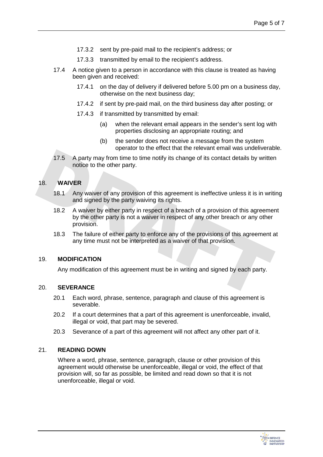- 17.3.2 sent by pre-paid mail to the recipient's address; or
- 17.3.3 transmitted by email to the recipient's address.
- 17.4 A notice given to a person in accordance with this clause is treated as having been given and received:
	- 17.4.1 on the day of delivery if delivered before 5.00 pm on a business day, otherwise on the next business day;
	- 17.4.2 if sent by pre-paid mail, on the third business day after posting; or
	- 17.4.3 if transmitted by transmitted by email:
		- (a) when the relevant email appears in the sender's sent log with properties disclosing an appropriate routing; and
		- (b) the sender does not receive a message from the system operator to the effect that the relevant email was undeliverable.
- 17.5 A party may from time to time notify its change of its contact details by written notice to the other party.

# <span id="page-6-0"></span>18. **WAIVER**

- 18.1 Any waiver of any provision of this agreement is ineffective unless it is in writing and signed by the party waiving its rights.
- 18.2 A waiver by either party in respect of a breach of a provision of this agreement by the other party is not a waiver in respect of any other breach or any other provision.
- 18.3 The failure of either party to enforce any of the provisions of this agreement at any time must not be interpreted as a waiver of that provision.

#### <span id="page-6-1"></span>19. **MODIFICATION**

Any modification of this agreement must be in writing and signed by each party.

#### <span id="page-6-2"></span>20. **SEVERANCE**

- 20.1 Each word, phrase, sentence, paragraph and clause of this agreement is severable.
- 20.2 If a court determines that a part of this agreement is unenforceable, invalid, illegal or void, that part may be severed.
- 20.3 Severance of a part of this agreement will not affect any other part of it.

#### <span id="page-6-3"></span>21. **READING DOWN**

Where a word, phrase, sentence, paragraph, clause or other provision of this agreement would otherwise be unenforceable, illegal or void, the effect of that provision will, so far as possible, be limited and read down so that it is not unenforceable, illegal or void.

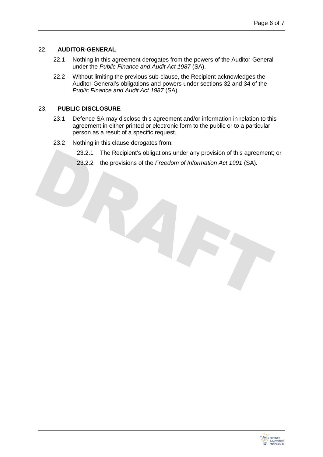#### <span id="page-7-0"></span>22. **AUDITOR-GENERAL**

- 22.1 Nothing in this agreement derogates from the powers of the Auditor-General under the *Public Finance and Audit Act 1987* (SA).
- 22.2 Without limiting the previous sub-clause, the Recipient acknowledges the Auditor-General's obligations and powers under sections 32 and 34 of the *Public Finance and Audit Act 1987* (SA).

#### <span id="page-7-1"></span>23. **PUBLIC DISCLOSURE**

- 23.1 Defence SA may disclose this agreement and/or information in relation to this agreement in either printed or electronic form to the public or to a particular person as a result of a specific request.
- 23.2 Nothing in this clause derogates from:
	- 23.2.1 The Recipient's obligations under any provision of this agreement; or
	- 23.2.2 the provisions of the *Freedom of Information Act 1991* (SA).

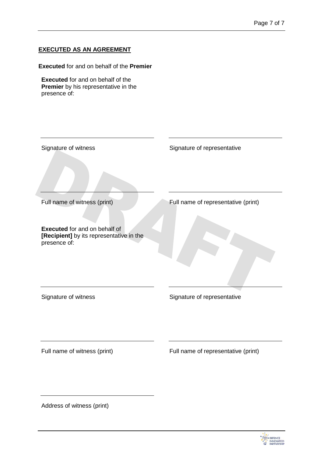# **EXECUTED AS AN AGREEMENT**

**Executed** for and on behalf of the **Premier**

**Executed** for and on behalf of the **Premier** by his representative in the presence of:

| Signature of witness                                                             | Signature of representative         |
|----------------------------------------------------------------------------------|-------------------------------------|
|                                                                                  |                                     |
| Full name of witness (print)                                                     | Full name of representative (print) |
| <b>Executed</b> for and on behalf of<br>[Recipient] by its representative in the |                                     |
| presence of:                                                                     |                                     |
|                                                                                  |                                     |
| Signature of witness                                                             | Signature of representative         |
|                                                                                  |                                     |
| Full name of witness (print)                                                     | Full name of representative (print) |
|                                                                                  |                                     |
| Address of witness (print)                                                       |                                     |

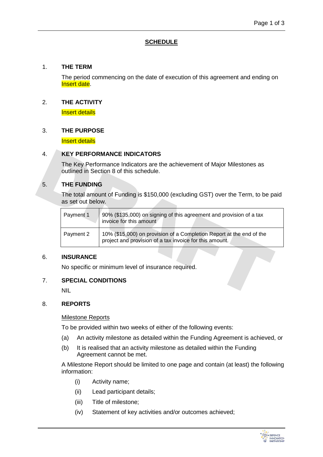# **SCHEDULE**

#### 1. **THE TERM**

The period commencing on the date of execution of this agreement and ending on Insert date.

#### 2. **THE ACTIVITY**

Insert details

#### 3. **THE PURPOSE**

Insert details

#### 4. **KEY PERFORMANCE INDICATORS**

The Key Performance Indicators are the achievement of Major Milestones as outlined in Section 8 of this schedule.

# 5. **THE FUNDING**

The total amount of Funding is \$150,000 (excluding GST) over the Term, to be paid as set out below.

| Payment 1 | 90% (\$135,000) on signing of this agreement and provision of a tax<br>invoice for this amount                                  |
|-----------|---------------------------------------------------------------------------------------------------------------------------------|
| Payment 2 | 10% (\$15,000) on provision of a Completion Report at the end of the<br>project and provision of a tax invoice for this amount. |

#### 6. **INSURANCE**

No specific or minimum level of insurance required.

#### 7. **SPECIAL CONDITIONS**

NIL

#### 8. **REPORTS**

#### Milestone Reports

To be provided within two weeks of either of the following events:

- (a) An activity milestone as detailed within the Funding Agreement is achieved, or
- (b) It is realised that an activity milestone as detailed within the Funding Agreement cannot be met.

A Milestone Report should be limited to one page and contain (at least) the following information:

- (i) Activity name;
- (ii) Lead participant details;
- (iii) Title of milestone;
- (iv) Statement of key activities and/or outcomes achieved;

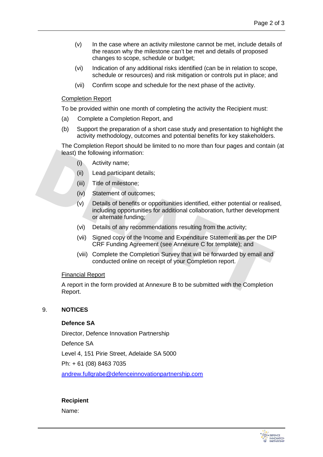- (v) In the case where an activity milestone cannot be met, include details of the reason why the milestone can't be met and details of proposed changes to scope, schedule or budget;
- (vi) Indication of any additional risks identified (can be in relation to scope, schedule or resources) and risk mitigation or controls put in place; and
- (vii) Confirm scope and schedule for the next phase of the activity.

#### Completion Report

To be provided within one month of completing the activity the Recipient must:

- (a) Complete a Completion Report, and
- (b) Support the preparation of a short case study and presentation to highlight the activity methodology, outcomes and potential benefits for key stakeholders.

The Completion Report should be limited to no more than four pages and contain (at least) the following information:

- (i) Activity name;
- (ii) Lead participant details;
- (iii) Title of milestone;
- (iv) Statement of outcomes;
- (v) Details of benefits or opportunities identified, either potential or realised, including opportunities for additional collaboration, further development or alternate funding;
- (vi) Details of any recommendations resulting from the activity;
- (vii) Signed copy of the Income and Expenditure Statement as per the DIP CRF Funding Agreement (see Annexure C for template); and
- (viii) Complete the Completion Survey that will be forwarded by email and conducted online on receipt of your Completion report.

#### Financial Report

A report in the form provided at Annexure B to be submitted with the Completion Report.

#### 9. **NOTICES**

#### **Defence SA**

Director, Defence Innovation Partnership

Defence SA

Level 4, 151 Pirie Street, Adelaide SA 5000

Ph: + 61 (08) 8463 7035

[andrew.fullgrabe@defenceinnovationpartnership.com](mailto:andrew.fullgrabe@defenceinnovationpartnership.com)

# **Recipient**

Name:

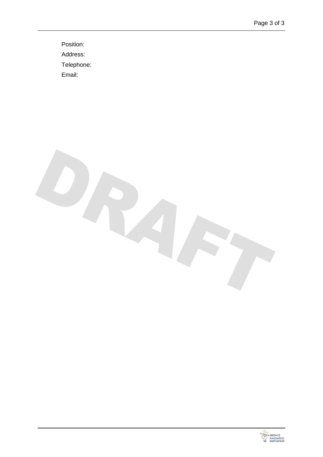Position: Address: Telephone: Email:

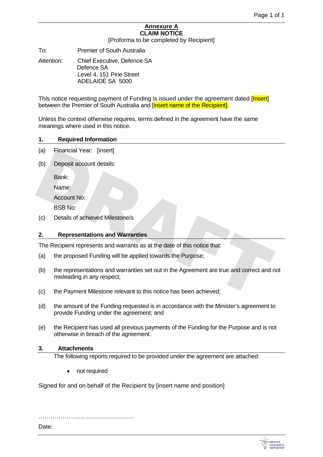# **Annexure A CLAIM NOTICE**

[Proforma to be completed by Recipient]

To: Premier of South Australia

Attention: Chief Executive, Defence SA Defence SA Level 4, 151 Pirie Street ADELAIDE SA 5000

This notice requesting payment of Funding is issued under the agreement dated [Insert] between the Premier of South Australia and [insert name of the Recipient].

Unless the context otherwise requires, terms defined in the agreement have the same meanings where used in this notice.

#### **1. Required Information**

- (a) Financial Year: [insert]
- (b) Deposit account details:

Bank:

Name:

Account No:

BSB No:

(c) Details of achieved Milestone/s

#### **2. Representations and Warranties**

The Recipient represents and warrants as at the date of this notice that:

- (a) the proposed Funding will be applied towards the Purpose;
- (b) the representations and warranties set out in the Agreement are true and correct and not misleading in any respect;
- (c) the Payment Milestone relevant to this notice has been achieved;
- (d) the amount of the Funding requested is in accordance with the Minister's agreement to provide Funding under the agreement; and
- (e) the Recipient has used all previous payments of the Funding for the Purpose and is not otherwise in breach of the agreement.

#### **3. Attachments**

The following reports required to be provided under the agreement are attached:

• not required

Signed for and on behalf of the Recipient by [insert name and position]

…………………………………………

Date: